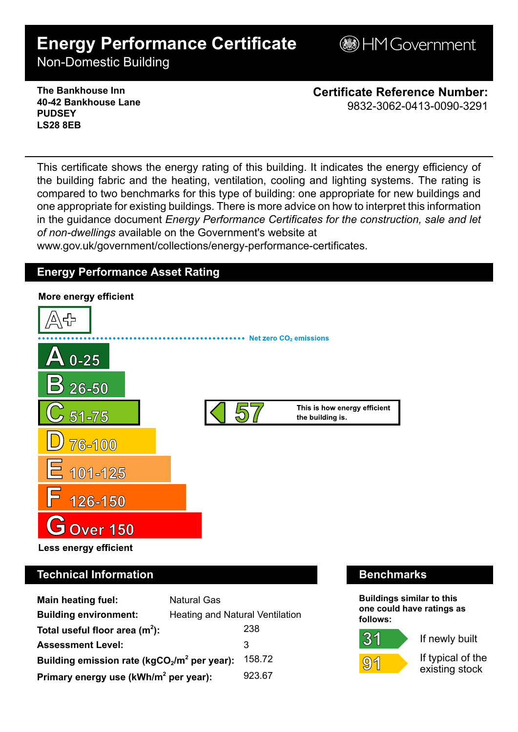# **Energy Performance Certificate**

**BHM Government** 

Non-Domestic Building

**The Bankhouse Inn 40-42 Bankhouse Lane PUDSEY LS28 8EB**

**Certificate Reference Number:** 9832-3062-0413-0090-3291

This certificate shows the energy rating of this building. It indicates the energy efficiency of the building fabric and the heating, ventilation, cooling and lighting systems. The rating is compared to two benchmarks for this type of building: one appropriate for new buildings and one appropriate for existing buildings. There is more advice on how to interpret this information in the guidance document *Energy Performance Certificates for the construction, sale and let of non-dwellings* available on the Government's website at

www.gov.uk/government/collections/energy-performance-certificates.

## **Energy Performance Asset Rating**



# **Technical Information Benchmarks**

| <b>Main heating fuel:</b>                         | <b>Natural Gas</b>                     |        |
|---------------------------------------------------|----------------------------------------|--------|
| <b>Building environment:</b>                      | <b>Heating and Natural Ventilation</b> |        |
| Total useful floor area $(m2)$ :                  |                                        | 238    |
| <b>Assessment Level:</b>                          |                                        | 3      |
| Building emission rate ( $kgCO2/m2$ per year):    |                                        | 158.72 |
| Primary energy use (kWh/m <sup>2</sup> per year): |                                        | 923.67 |

**Buildings similar to this one could have ratings as follows:**

If newly built

 $|9|$ 

 $31$ 

If typical of the existing stock